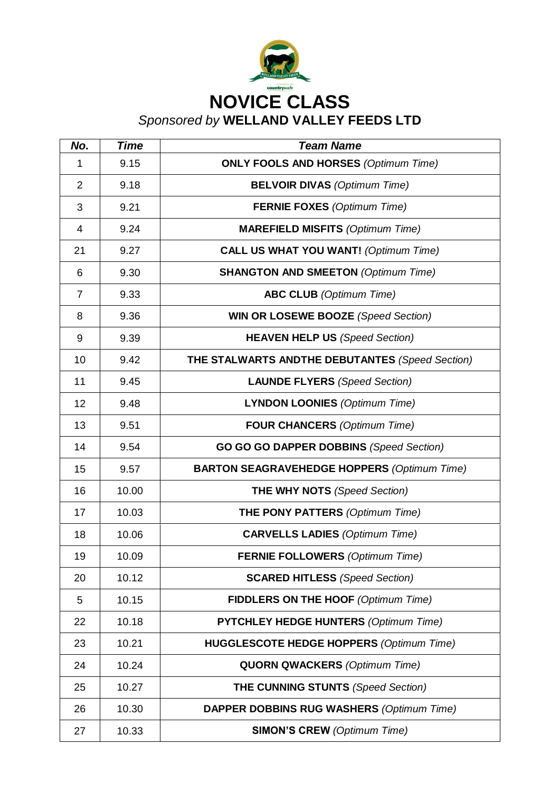

| No.            | <b>Time</b> | <b>Team Name</b>                                   |
|----------------|-------------|----------------------------------------------------|
| 1              | 9.15        | <b>ONLY FOOLS AND HORSES (Optimum Time)</b>        |
| $\overline{2}$ | 9.18        | <b>BELVOIR DIVAS (Optimum Time)</b>                |
| 3              | 9.21        | <b>FERNIE FOXES (Optimum Time)</b>                 |
| 4              | 9.24        | <b>MAREFIELD MISFITS (Optimum Time)</b>            |
| 21             | 9.27        | <b>CALL US WHAT YOU WANT!</b> (Optimum Time)       |
| 6              | 9.30        | <b>SHANGTON AND SMEETON (Optimum Time)</b>         |
| $\overline{7}$ | 9.33        | <b>ABC CLUB</b> (Optimum Time)                     |
| 8              | 9.36        | <b>WIN OR LOSEWE BOOZE</b> (Speed Section)         |
| 9              | 9.39        | <b>HEAVEN HELP US (Speed Section)</b>              |
| 10             | 9.42        | THE STALWARTS ANDTHE DEBUTANTES (Speed Section)    |
| 11             | 9.45        | <b>LAUNDE FLYERS</b> (Speed Section)               |
| 12             | 9.48        | <b>LYNDON LOONIES (Optimum Time)</b>               |
| 13             | 9.51        | <b>FOUR CHANCERS</b> (Optimum Time)                |
| 14             | 9.54        | <b>GO GO GO DAPPER DOBBINS (Speed Section)</b>     |
| 15             | 9.57        | <b>BARTON SEAGRAVEHEDGE HOPPERS (Optimum Time)</b> |
| 16             | 10.00       | <b>THE WHY NOTS</b> (Speed Section)                |
| 17             | 10.03       | <b>THE PONY PATTERS (Optimum Time)</b>             |
| 18             | 10.06       | <b>CARVELLS LADIES (Optimum Time)</b>              |
| 19             | 10.09       | <b>FERNIE FOLLOWERS</b> (Optimum Time)             |
| 20             | 10.12       | <b>SCARED HITLESS</b> (Speed Section)              |
| 5              | 10.15       | <b>FIDDLERS ON THE HOOF (Optimum Time)</b>         |
| 22             | 10.18       | <b>PYTCHLEY HEDGE HUNTERS (Optimum Time)</b>       |
| 23             | 10.21       | <b>HUGGLESCOTE HEDGE HOPPERS (Optimum Time)</b>    |
| 24             | 10.24       | <b>QUORN QWACKERS (Optimum Time)</b>               |
| 25             | 10.27       | <b>THE CUNNING STUNTS (Speed Section)</b>          |
| 26             | 10.30       | <b>DAPPER DOBBINS RUG WASHERS (Optimum Time)</b>   |
| 27             | 10.33       | <b>SIMON'S CREW (Optimum Time)</b>                 |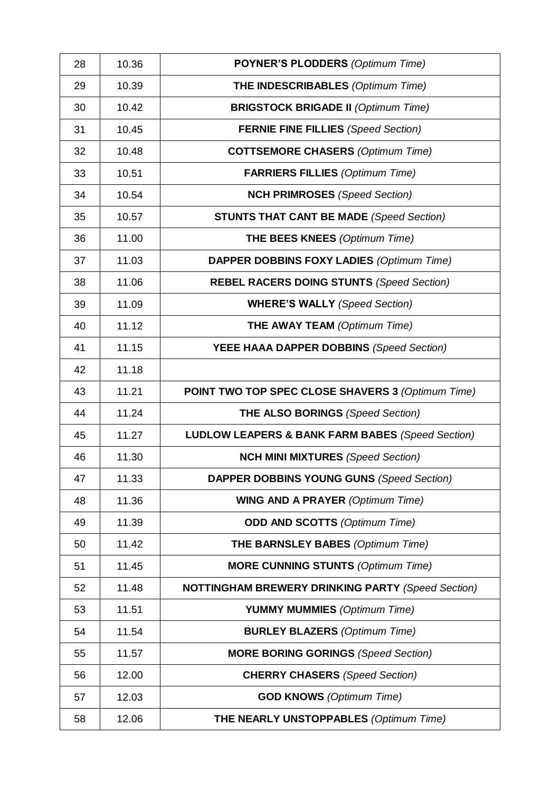| 28 | 10.36 | <b>POYNER'S PLODDERS (Optimum Time)</b>                     |
|----|-------|-------------------------------------------------------------|
| 29 | 10.39 | <b>THE INDESCRIBABLES (Optimum Time)</b>                    |
| 30 | 10.42 | <b>BRIGSTOCK BRIGADE II (Optimum Time)</b>                  |
| 31 | 10.45 | <b>FERNIE FINE FILLIES (Speed Section)</b>                  |
| 32 | 10.48 | <b>COTTSEMORE CHASERS (Optimum Time)</b>                    |
| 33 | 10.51 | <b>FARRIERS FILLIES (Optimum Time)</b>                      |
| 34 | 10.54 | <b>NCH PRIMROSES</b> (Speed Section)                        |
| 35 | 10.57 | <b>STUNTS THAT CANT BE MADE (Speed Section)</b>             |
| 36 | 11.00 | <b>THE BEES KNEES</b> (Optimum Time)                        |
| 37 | 11.03 | <b>DAPPER DOBBINS FOXY LADIES (Optimum Time)</b>            |
| 38 | 11.06 | <b>REBEL RACERS DOING STUNTS (Speed Section)</b>            |
| 39 | 11.09 | <b>WHERE'S WALLY (Speed Section)</b>                        |
| 40 | 11.12 | <b>THE AWAY TEAM</b> (Optimum Time)                         |
| 41 | 11.15 | YEEE HAAA DAPPER DOBBINS (Speed Section)                    |
| 42 | 11.18 |                                                             |
| 43 | 11.21 | <b>POINT TWO TOP SPEC CLOSE SHAVERS 3 (Optimum Time)</b>    |
| 44 | 11.24 | <b>THE ALSO BORINGS (Speed Section)</b>                     |
| 45 | 11.27 | <b>LUDLOW LEAPERS &amp; BANK FARM BABES (Speed Section)</b> |
| 46 | 11.30 | <b>NCH MINI MIXTURES (Speed Section)</b>                    |
| 47 | 11.33 | <b>DAPPER DOBBINS YOUNG GUNS (Speed Section)</b>            |
| 48 | 11.36 | <b>WING AND A PRAYER (Optimum Time)</b>                     |
| 49 | 11.39 | <b>ODD AND SCOTTS (Optimum Time)</b>                        |
| 50 | 11.42 | <b>THE BARNSLEY BABES (Optimum Time)</b>                    |
| 51 | 11.45 | <b>MORE CUNNING STUNTS (Optimum Time)</b>                   |
| 52 | 11.48 | <b>NOTTINGHAM BREWERY DRINKING PARTY (Speed Section)</b>    |
| 53 | 11.51 | <b>YUMMY MUMMIES</b> (Optimum Time)                         |
| 54 | 11.54 | <b>BURLEY BLAZERS</b> (Optimum Time)                        |
| 55 | 11.57 | <b>MORE BORING GORINGS (Speed Section)</b>                  |
| 56 | 12.00 | <b>CHERRY CHASERS</b> (Speed Section)                       |
| 57 | 12.03 | <b>GOD KNOWS</b> (Optimum Time)                             |
| 58 | 12.06 | <b>THE NEARLY UNSTOPPABLES (Optimum Time)</b>               |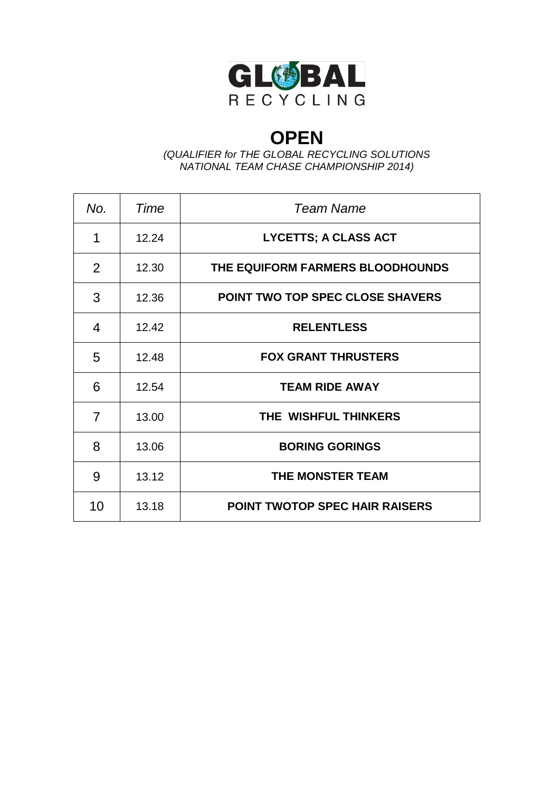

## **OPEN**

*(QUALIFIER for THE GLOBAL RECYCLING SOLUTIONS NATIONAL TEAM CHASE CHAMPIONSHIP 2014)*

| No.            | Time  | Team Name                             |
|----------------|-------|---------------------------------------|
| 1              | 12.24 | <b>LYCETTS; A CLASS ACT</b>           |
| $\overline{2}$ | 12.30 | THE EQUIFORM FARMERS BLOODHOUNDS      |
| 3              | 12.36 | POINT TWO TOP SPEC CLOSE SHAVERS      |
| 4              | 12.42 | <b>RELENTLESS</b>                     |
| 5              | 12.48 | <b>FOX GRANT THRUSTERS</b>            |
| 6              | 12.54 | <b>TEAM RIDE AWAY</b>                 |
| $\overline{7}$ | 13.00 | THE WISHFUL THINKERS                  |
| 8              | 13.06 | <b>BORING GORINGS</b>                 |
| 9              | 13.12 | <b>THE MONSTER TEAM</b>               |
| 10             | 13.18 | <b>POINT TWOTOP SPEC HAIR RAISERS</b> |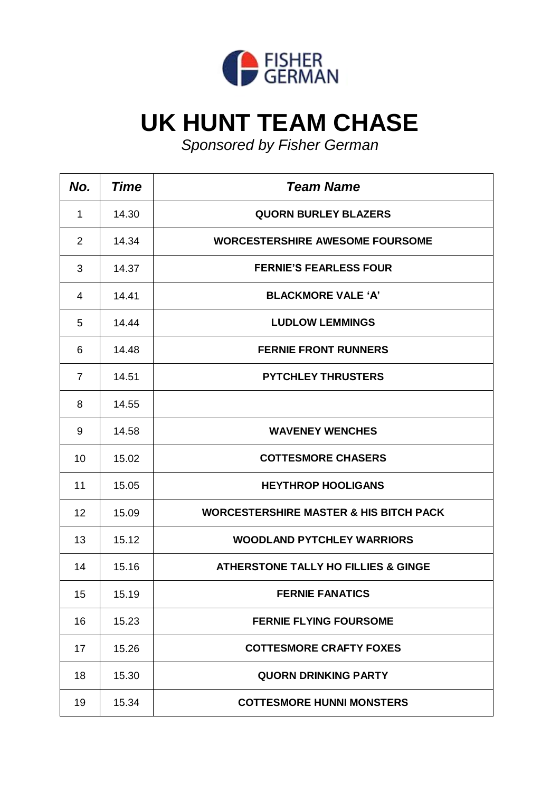

## **UK HUNT TEAM CHASE**

*Sponsored by Fisher German*

| No.            | <b>Time</b> | <b>Team Name</b>                                  |
|----------------|-------------|---------------------------------------------------|
| 1              | 14.30       | <b>QUORN BURLEY BLAZERS</b>                       |
| $\overline{2}$ | 14.34       | <b>WORCESTERSHIRE AWESOME FOURSOME</b>            |
| 3              | 14.37       | <b>FERNIE'S FEARLESS FOUR</b>                     |
| 4              | 14.41       | <b>BLACKMORE VALE 'A'</b>                         |
| 5              | 14.44       | <b>LUDLOW LEMMINGS</b>                            |
| 6              | 14.48       | <b>FERNIE FRONT RUNNERS</b>                       |
| $\overline{7}$ | 14.51       | <b>PYTCHLEY THRUSTERS</b>                         |
| 8              | 14.55       |                                                   |
| 9              | 14.58       | <b>WAVENEY WENCHES</b>                            |
| 10             | 15.02       | <b>COTTESMORE CHASERS</b>                         |
| 11             | 15.05       | <b>HEYTHROP HOOLIGANS</b>                         |
| 12             | 15.09       | <b>WORCESTERSHIRE MASTER &amp; HIS BITCH PACK</b> |
| 13             | 15.12       | <b>WOODLAND PYTCHLEY WARRIORS</b>                 |
| 14             | 15.16       | <b>ATHERSTONE TALLY HO FILLIES &amp; GINGE</b>    |
| 15             | 15.19       | <b>FERNIE FANATICS</b>                            |
| 16             | 15.23       | <b>FERNIE FLYING FOURSOME</b>                     |
| 17             | 15.26       | <b>COTTESMORE CRAFTY FOXES</b>                    |
| 18             | 15.30       | <b>QUORN DRINKING PARTY</b>                       |
| 19             | 15.34       | <b>COTTESMORE HUNNI MONSTERS</b>                  |